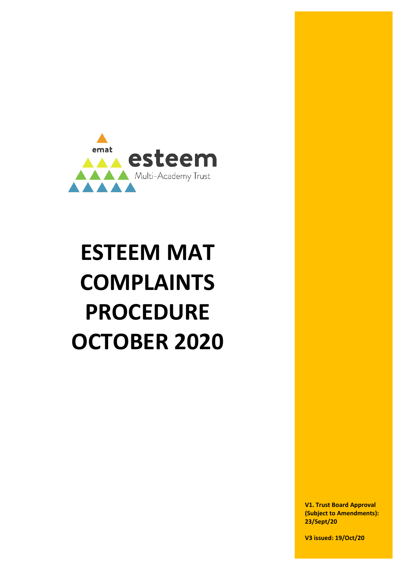

# **ESTEEM MAT COMPLAINTS PROCEDURE OCTOBER 2020**

**V1. Trust Board Approval (Subject to Amendments): 23/Sept/20**

**V3 issued: 19/Oct/20**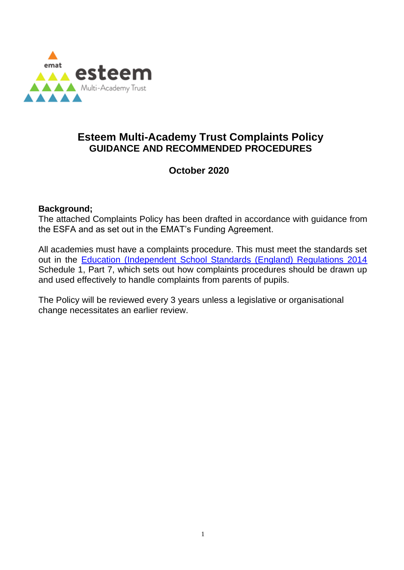

# **Esteem Multi-Academy Trust Complaints Policy GUIDANCE AND RECOMMENDED PROCEDURES**

### **October 2020**

#### **Background;**

The attached Complaints Policy has been drafted in accordance with guidance from the ESFA and as set out in the EMAT's Funding Agreement.

All academies must have a complaints procedure. This must meet the standards set out in the [Education \(Independent School Standards \(England\) Regulations 2014](http://www.legislation.gov.uk/uksi/2014/3283/schedule/made) Schedule 1, Part 7, which sets out how complaints procedures should be drawn up and used effectively to handle complaints from parents of pupils.

The Policy will be reviewed every 3 years unless a legislative or organisational change necessitates an earlier review.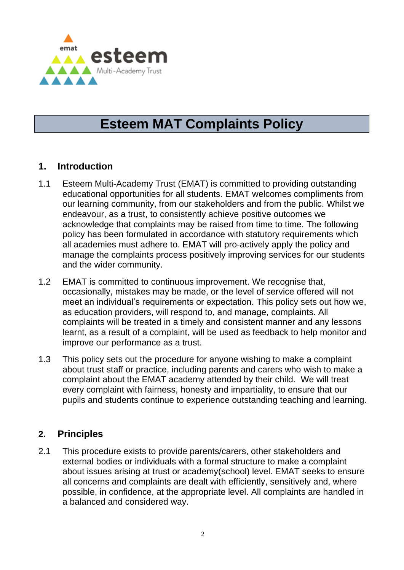

# **Esteem MAT Complaints Policy**

### **1. Introduction**

- 1.1 Esteem Multi-Academy Trust (EMAT) is committed to providing outstanding educational opportunities for all students. EMAT welcomes compliments from our learning community, from our stakeholders and from the public. Whilst we endeavour, as a trust, to consistently achieve positive outcomes we acknowledge that complaints may be raised from time to time. The following policy has been formulated in accordance with statutory requirements which all academies must adhere to. EMAT will pro-actively apply the policy and manage the complaints process positively improving services for our students and the wider community.
- 1.2 EMAT is committed to continuous improvement. We recognise that, occasionally, mistakes may be made, or the level of service offered will not meet an individual's requirements or expectation. This policy sets out how we, as education providers, will respond to, and manage, complaints. All complaints will be treated in a timely and consistent manner and any lessons learnt, as a result of a complaint, will be used as feedback to help monitor and improve our performance as a trust.
- 1.3 This policy sets out the procedure for anyone wishing to make a complaint about trust staff or practice, including parents and carers who wish to make a complaint about the EMAT academy attended by their child. We will treat every complaint with fairness, honesty and impartiality, to ensure that our pupils and students continue to experience outstanding teaching and learning.

# **2. Principles**

2.1 This procedure exists to provide parents/carers, other stakeholders and external bodies or individuals with a formal structure to make a complaint about issues arising at trust or academy(school) level. EMAT seeks to ensure all concerns and complaints are dealt with efficiently, sensitively and, where possible, in confidence, at the appropriate level. All complaints are handled in a balanced and considered way.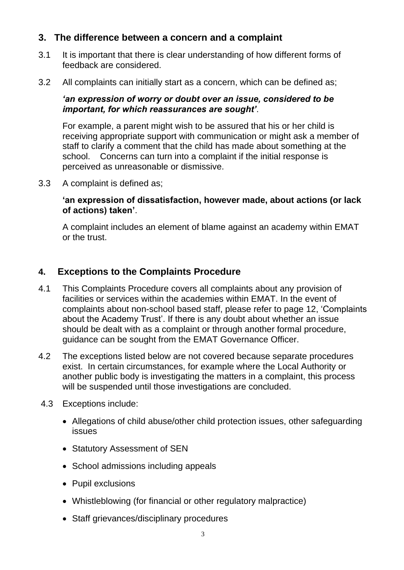### **3. The difference between a concern and a complaint**

- 3.1 It is important that there is clear understanding of how different forms of feedback are considered.
- 3.2 All complaints can initially start as a concern, which can be defined as;

#### *'an expression of worry or doubt over an issue, considered to be important, for which reassurances are sought'*.

For example, a parent might wish to be assured that his or her child is receiving appropriate support with communication or might ask a member of staff to clarify a comment that the child has made about something at the school. Concerns can turn into a complaint if the initial response is perceived as unreasonable or dismissive.

3.3 A complaint is defined as;

#### **'an expression of dissatisfaction, however made, about actions (or lack of actions) taken'**.

A complaint includes an element of blame against an academy within EMAT or the trust.

# **4. Exceptions to the Complaints Procedure**

- 4.1 This Complaints Procedure covers all complaints about any provision of facilities or services within the academies within EMAT. In the event of complaints about non-school based staff, please refer to page 12, 'Complaints about the Academy Trust'. If there is any doubt about whether an issue should be dealt with as a complaint or through another formal procedure, guidance can be sought from the EMAT Governance Officer.
- 4.2 The exceptions listed below are not covered because separate procedures exist. In certain circumstances, for example where the Local Authority or another public body is investigating the matters in a complaint, this process will be suspended until those investigations are concluded.
- 4.3 Exceptions include:
	- Allegations of child abuse/other child protection issues, other safeguarding issues
	- Statutory Assessment of SEN
	- School admissions including appeals
	- Pupil exclusions
	- Whistleblowing (for financial or other regulatory malpractice)
	- Staff grievances/disciplinary procedures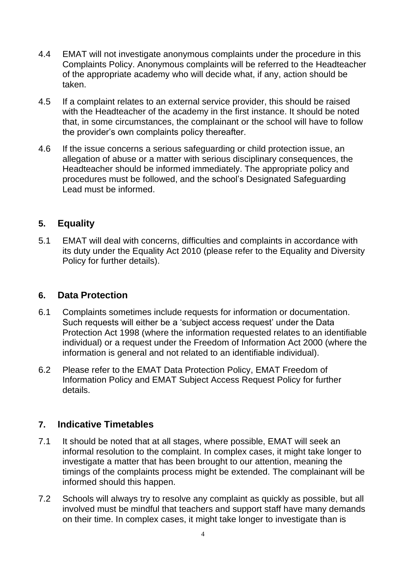- 4.4 EMAT will not investigate anonymous complaints under the procedure in this Complaints Policy. Anonymous complaints will be referred to the Headteacher of the appropriate academy who will decide what, if any, action should be taken.
- 4.5 If a complaint relates to an external service provider, this should be raised with the Headteacher of the academy in the first instance. It should be noted that, in some circumstances, the complainant or the school will have to follow the provider's own complaints policy thereafter.
- 4.6 If the issue concerns a serious safeguarding or child protection issue, an allegation of abuse or a matter with serious disciplinary consequences, the Headteacher should be informed immediately. The appropriate policy and procedures must be followed, and the school's Designated Safeguarding Lead must be informed.

# **5. Equality**

5.1 EMAT will deal with concerns, difficulties and complaints in accordance with its duty under the Equality Act 2010 (please refer to the Equality and Diversity Policy for further details).

### **6. Data Protection**

- 6.1 Complaints sometimes include requests for information or documentation. Such requests will either be a 'subject access request' under the Data Protection Act 1998 (where the information requested relates to an identifiable individual) or a request under the Freedom of Information Act 2000 (where the information is general and not related to an identifiable individual).
- 6.2 Please refer to the EMAT Data Protection Policy, EMAT Freedom of Information Policy and EMAT Subject Access Request Policy for further details.

# **7. Indicative Timetables**

- 7.1 It should be noted that at all stages, where possible, EMAT will seek an informal resolution to the complaint. In complex cases, it might take longer to investigate a matter that has been brought to our attention, meaning the timings of the complaints process might be extended. The complainant will be informed should this happen.
- 7.2 Schools will always try to resolve any complaint as quickly as possible, but all involved must be mindful that teachers and support staff have many demands on their time. In complex cases, it might take longer to investigate than is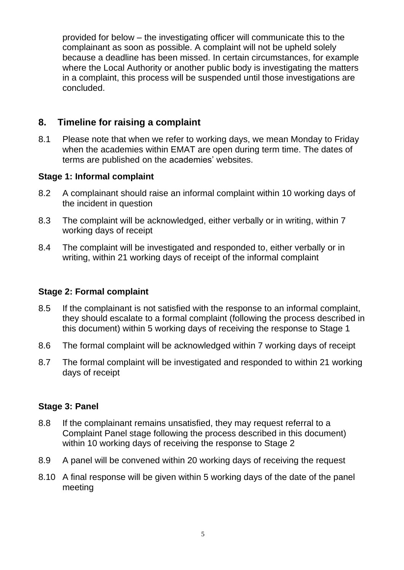provided for below – the investigating officer will communicate this to the complainant as soon as possible. A complaint will not be upheld solely because a deadline has been missed. In certain circumstances, for example where the Local Authority or another public body is investigating the matters in a complaint, this process will be suspended until those investigations are concluded.

### **8. Timeline for raising a complaint**

8.1 Please note that when we refer to working days, we mean Monday to Friday when the academies within EMAT are open during term time. The dates of terms are published on the academies' websites.

#### **Stage 1: Informal complaint**

- 8.2 A complainant should raise an informal complaint within 10 working days of the incident in question
- 8.3 The complaint will be acknowledged, either verbally or in writing, within 7 working days of receipt
- 8.4 The complaint will be investigated and responded to, either verbally or in writing, within 21 working days of receipt of the informal complaint

#### **Stage 2: Formal complaint**

- 8.5 If the complainant is not satisfied with the response to an informal complaint, they should escalate to a formal complaint (following the process described in this document) within 5 working days of receiving the response to Stage 1
- 8.6 The formal complaint will be acknowledged within 7 working days of receipt
- 8.7 The formal complaint will be investigated and responded to within 21 working days of receipt

#### **Stage 3: Panel**

- 8.8 If the complainant remains unsatisfied, they may request referral to a Complaint Panel stage following the process described in this document) within 10 working days of receiving the response to Stage 2
- 8.9 A panel will be convened within 20 working days of receiving the request
- 8.10 A final response will be given within 5 working days of the date of the panel meeting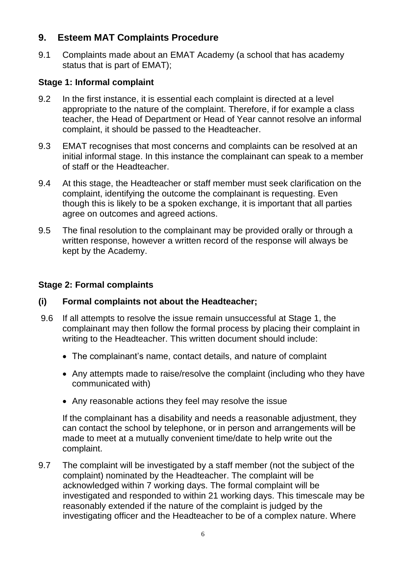### **9. Esteem MAT Complaints Procedure**

9.1 Complaints made about an EMAT Academy (a school that has academy status that is part of EMAT);

#### **Stage 1: Informal complaint**

- 9.2 In the first instance, it is essential each complaint is directed at a level appropriate to the nature of the complaint. Therefore, if for example a class teacher, the Head of Department or Head of Year cannot resolve an informal complaint, it should be passed to the Headteacher.
- 9.3 EMAT recognises that most concerns and complaints can be resolved at an initial informal stage. In this instance the complainant can speak to a member of staff or the Headteacher.
- 9.4 At this stage, the Headteacher or staff member must seek clarification on the complaint, identifying the outcome the complainant is requesting. Even though this is likely to be a spoken exchange, it is important that all parties agree on outcomes and agreed actions.
- 9.5 The final resolution to the complainant may be provided orally or through a written response, however a written record of the response will always be kept by the Academy.

### **Stage 2: Formal complaints**

#### **(i) Formal complaints not about the Headteacher;**

- 9.6 If all attempts to resolve the issue remain unsuccessful at Stage 1, the complainant may then follow the formal process by placing their complaint in writing to the Headteacher. This written document should include:
	- The complainant's name, contact details, and nature of complaint
	- Any attempts made to raise/resolve the complaint (including who they have communicated with)
	- Any reasonable actions they feel may resolve the issue

If the complainant has a disability and needs a reasonable adjustment, they can contact the school by telephone, or in person and arrangements will be made to meet at a mutually convenient time/date to help write out the complaint.

9.7 The complaint will be investigated by a staff member (not the subject of the complaint) nominated by the Headteacher. The complaint will be acknowledged within 7 working days. The formal complaint will be investigated and responded to within 21 working days. This timescale may be reasonably extended if the nature of the complaint is judged by the investigating officer and the Headteacher to be of a complex nature. Where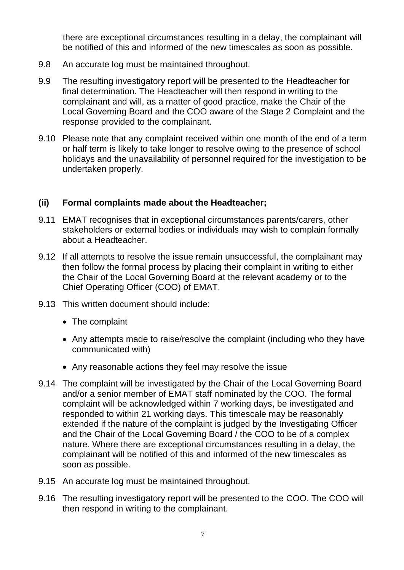there are exceptional circumstances resulting in a delay, the complainant will be notified of this and informed of the new timescales as soon as possible.

- 9.8 An accurate log must be maintained throughout.
- 9.9 The resulting investigatory report will be presented to the Headteacher for final determination. The Headteacher will then respond in writing to the complainant and will, as a matter of good practice, make the Chair of the Local Governing Board and the COO aware of the Stage 2 Complaint and the response provided to the complainant.
- 9.10 Please note that any complaint received within one month of the end of a term or half term is likely to take longer to resolve owing to the presence of school holidays and the unavailability of personnel required for the investigation to be undertaken properly.

#### **(ii) Formal complaints made about the Headteacher;**

- 9.11 EMAT recognises that in exceptional circumstances parents/carers, other stakeholders or external bodies or individuals may wish to complain formally about a Headteacher.
- 9.12 If all attempts to resolve the issue remain unsuccessful, the complainant may then follow the formal process by placing their complaint in writing to either the Chair of the Local Governing Board at the relevant academy or to the Chief Operating Officer (COO) of EMAT.
- 9.13 This written document should include:
	- The complaint
	- Any attempts made to raise/resolve the complaint (including who they have communicated with)
	- Any reasonable actions they feel may resolve the issue
- 9.14 The complaint will be investigated by the Chair of the Local Governing Board and/or a senior member of EMAT staff nominated by the COO. The formal complaint will be acknowledged within 7 working days, be investigated and responded to within 21 working days. This timescale may be reasonably extended if the nature of the complaint is judged by the Investigating Officer and the Chair of the Local Governing Board / the COO to be of a complex nature. Where there are exceptional circumstances resulting in a delay, the complainant will be notified of this and informed of the new timescales as soon as possible.
- 9.15 An accurate log must be maintained throughout.
- 9.16 The resulting investigatory report will be presented to the COO. The COO will then respond in writing to the complainant.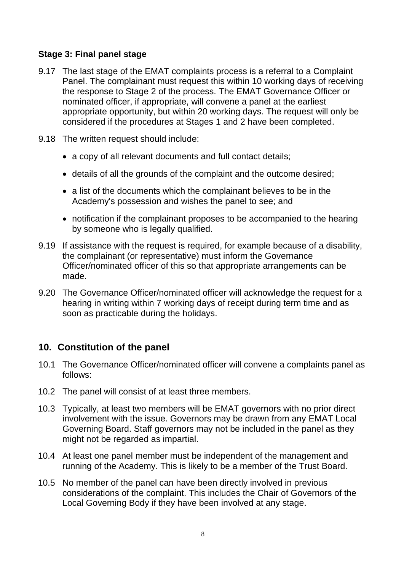#### **Stage 3: Final panel stage**

- 9.17 The last stage of the EMAT complaints process is a referral to a Complaint Panel. The complainant must request this within 10 working days of receiving the response to Stage 2 of the process. The EMAT Governance Officer or nominated officer, if appropriate, will convene a panel at the earliest appropriate opportunity, but within 20 working days. The request will only be considered if the procedures at Stages 1 and 2 have been completed.
- 9.18 The written request should include:
	- a copy of all relevant documents and full contact details;
	- details of all the grounds of the complaint and the outcome desired;
	- a list of the documents which the complainant believes to be in the Academy's possession and wishes the panel to see; and
	- notification if the complainant proposes to be accompanied to the hearing by someone who is legally qualified.
- 9.19 If assistance with the request is required, for example because of a disability, the complainant (or representative) must inform the Governance Officer/nominated officer of this so that appropriate arrangements can be made.
- 9.20 The Governance Officer/nominated officer will acknowledge the request for a hearing in writing within 7 working days of receipt during term time and as soon as practicable during the holidays.

### **10. Constitution of the panel**

- 10.1 The Governance Officer/nominated officer will convene a complaints panel as follows:
- 10.2 The panel will consist of at least three members.
- 10.3 Typically, at least two members will be EMAT governors with no prior direct involvement with the issue. Governors may be drawn from any EMAT Local Governing Board. Staff governors may not be included in the panel as they might not be regarded as impartial.
- 10.4 At least one panel member must be independent of the management and running of the Academy. This is likely to be a member of the Trust Board.
- 10.5 No member of the panel can have been directly involved in previous considerations of the complaint. This includes the Chair of Governors of the Local Governing Body if they have been involved at any stage.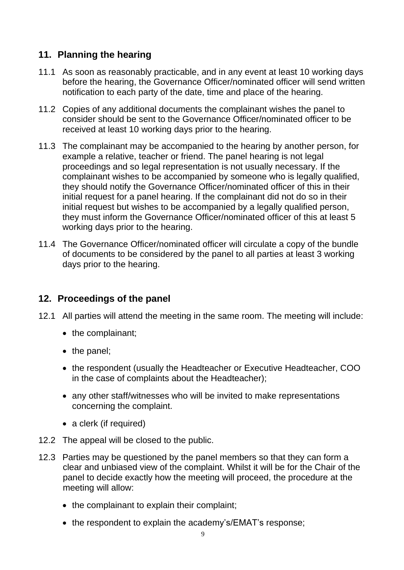# **11. Planning the hearing**

- 11.1 As soon as reasonably practicable, and in any event at least 10 working days before the hearing, the Governance Officer/nominated officer will send written notification to each party of the date, time and place of the hearing.
- 11.2 Copies of any additional documents the complainant wishes the panel to consider should be sent to the Governance Officer/nominated officer to be received at least 10 working days prior to the hearing.
- 11.3 The complainant may be accompanied to the hearing by another person, for example a relative, teacher or friend. The panel hearing is not legal proceedings and so legal representation is not usually necessary. If the complainant wishes to be accompanied by someone who is legally qualified, they should notify the Governance Officer/nominated officer of this in their initial request for a panel hearing. If the complainant did not do so in their initial request but wishes to be accompanied by a legally qualified person, they must inform the Governance Officer/nominated officer of this at least 5 working days prior to the hearing.
- 11.4 The Governance Officer/nominated officer will circulate a copy of the bundle of documents to be considered by the panel to all parties at least 3 working days prior to the hearing.

### **12. Proceedings of the panel**

- 12.1 All parties will attend the meeting in the same room. The meeting will include:
	- the complainant;
	- the panel;
	- the respondent (usually the Headteacher or Executive Headteacher, COO in the case of complaints about the Headteacher);
	- any other staff/witnesses who will be invited to make representations concerning the complaint.
	- a clerk (if required)
- 12.2 The appeal will be closed to the public.
- 12.3 Parties may be questioned by the panel members so that they can form a clear and unbiased view of the complaint. Whilst it will be for the Chair of the panel to decide exactly how the meeting will proceed, the procedure at the meeting will allow:
	- the complainant to explain their complaint;
	- the respondent to explain the academy's/EMAT's response;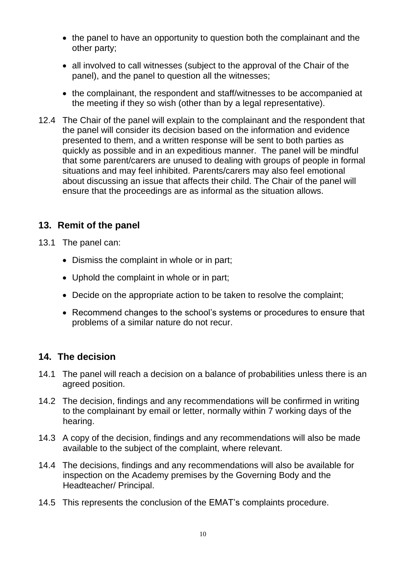- the panel to have an opportunity to question both the complainant and the other party;
- all involved to call witnesses (subject to the approval of the Chair of the panel), and the panel to question all the witnesses;
- the complainant, the respondent and staff/witnesses to be accompanied at the meeting if they so wish (other than by a legal representative).
- 12.4 The Chair of the panel will explain to the complainant and the respondent that the panel will consider its decision based on the information and evidence presented to them, and a written response will be sent to both parties as quickly as possible and in an expeditious manner. The panel will be mindful that some parent/carers are unused to dealing with groups of people in formal situations and may feel inhibited. Parents/carers may also feel emotional about discussing an issue that affects their child. The Chair of the panel will ensure that the proceedings are as informal as the situation allows.

# **13. Remit of the panel**

- 13.1 The panel can:
	- Dismiss the complaint in whole or in part;
	- Uphold the complaint in whole or in part;
	- Decide on the appropriate action to be taken to resolve the complaint;
	- Recommend changes to the school's systems or procedures to ensure that problems of a similar nature do not recur.

### **14. The decision**

- 14.1 The panel will reach a decision on a balance of probabilities unless there is an agreed position.
- 14.2 The decision, findings and any recommendations will be confirmed in writing to the complainant by email or letter, normally within 7 working days of the hearing.
- 14.3 A copy of the decision, findings and any recommendations will also be made available to the subject of the complaint, where relevant.
- 14.4 The decisions, findings and any recommendations will also be available for inspection on the Academy premises by the Governing Body and the Headteacher/ Principal.
- 14.5 This represents the conclusion of the EMAT's complaints procedure.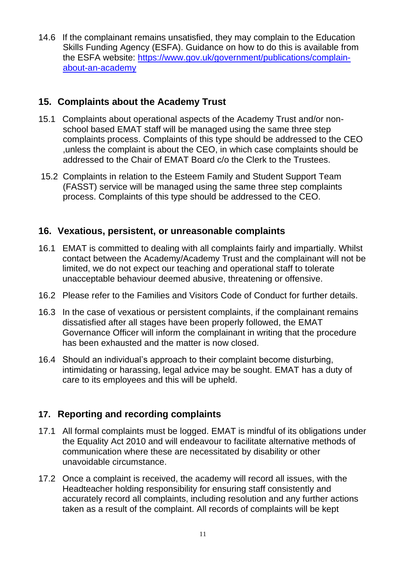14.6 If the complainant remains unsatisfied, they may complain to the Education Skills Funding Agency (ESFA). Guidance on how to do this is available from the ESFA website: [https://www.gov.uk/government/publications/complain](https://www.gov.uk/government/publications/complain-about-an-academy)[about-an-academy](https://www.gov.uk/government/publications/complain-about-an-academy)

# **15. Complaints about the Academy Trust**

- 15.1 Complaints about operational aspects of the Academy Trust and/or nonschool based EMAT staff will be managed using the same three step complaints process. Complaints of this type should be addressed to the CEO ,unless the complaint is about the CEO, in which case complaints should be addressed to the Chair of EMAT Board c/o the Clerk to the Trustees.
- 15.2 Complaints in relation to the Esteem Family and Student Support Team (FASST) service will be managed using the same three step complaints process. Complaints of this type should be addressed to the CEO.

#### **16. Vexatious, persistent, or unreasonable complaints**

- 16.1 EMAT is committed to dealing with all complaints fairly and impartially. Whilst contact between the Academy/Academy Trust and the complainant will not be limited, we do not expect our teaching and operational staff to tolerate unacceptable behaviour deemed abusive, threatening or offensive.
- 16.2 Please refer to the Families and Visitors Code of Conduct for further details.
- 16.3 In the case of vexatious or persistent complaints, if the complainant remains dissatisfied after all stages have been properly followed, the EMAT Governance Officer will inform the complainant in writing that the procedure has been exhausted and the matter is now closed.
- 16.4 Should an individual's approach to their complaint become disturbing, intimidating or harassing, legal advice may be sought. EMAT has a duty of care to its employees and this will be upheld.

# **17. Reporting and recording complaints**

- 17.1 All formal complaints must be logged. EMAT is mindful of its obligations under the Equality Act 2010 and will endeavour to facilitate alternative methods of communication where these are necessitated by disability or other unavoidable circumstance.
- 17.2 Once a complaint is received, the academy will record all issues, with the Headteacher holding responsibility for ensuring staff consistently and accurately record all complaints, including resolution and any further actions taken as a result of the complaint. All records of complaints will be kept